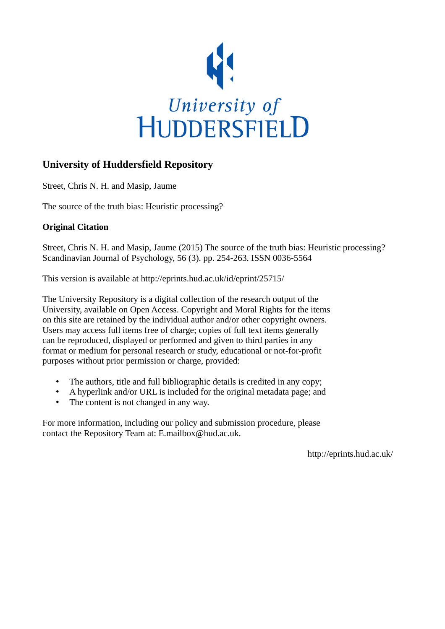

# **University of Huddersfield Repository**

Street, Chris N. H. and Masip, Jaume

The source of the truth bias: Heuristic processing?

## **Original Citation**

Street, Chris N. H. and Masip, Jaume (2015) The source of the truth bias: Heuristic processing? Scandinavian Journal of Psychology, 56 (3). pp. 254-263. ISSN 0036-5564

This version is available at http://eprints.hud.ac.uk/id/eprint/25715/

The University Repository is a digital collection of the research output of the University, available on Open Access. Copyright and Moral Rights for the items on this site are retained by the individual author and/or other copyright owners. Users may access full items free of charge; copies of full text items generally can be reproduced, displayed or performed and given to third parties in any format or medium for personal research or study, educational or not-for-profit purposes without prior permission or charge, provided:

- The authors, title and full bibliographic details is credited in any copy;
- A hyperlink and/or URL is included for the original metadata page; and
- The content is not changed in any way.

For more information, including our policy and submission procedure, please contact the Repository Team at: E.mailbox@hud.ac.uk.

http://eprints.hud.ac.uk/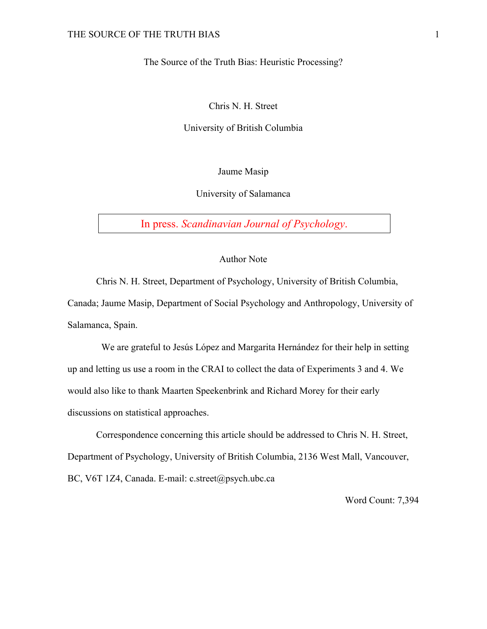The Source of the Truth Bias: Heuristic Processing?

Chris N. H. Street

University of British Columbia

Jaume Masip

University of Salamanca

In press. *Scandinavian Journal of Psychology*.

## Author Note

Chris N. H. Street, Department of Psychology, University of British Columbia, Canada; Jaume Masip, Department of Social Psychology and Anthropology, University of Salamanca, Spain.

We are grateful to Jesús López and Margarita Hernández for their help in setting up and letting us use a room in the CRAI to collect the data of Experiments 3 and 4. We would also like to thank Maarten Speekenbrink and Richard Morey for their early discussions on statistical approaches.

Correspondence concerning this article should be addressed to Chris N. H. Street, Department of Psychology, University of British Columbia, 2136 West Mall, Vancouver, BC, V6T 1Z4, Canada. E-mail: c.street@psych.ubc.ca

Word Count: 7,394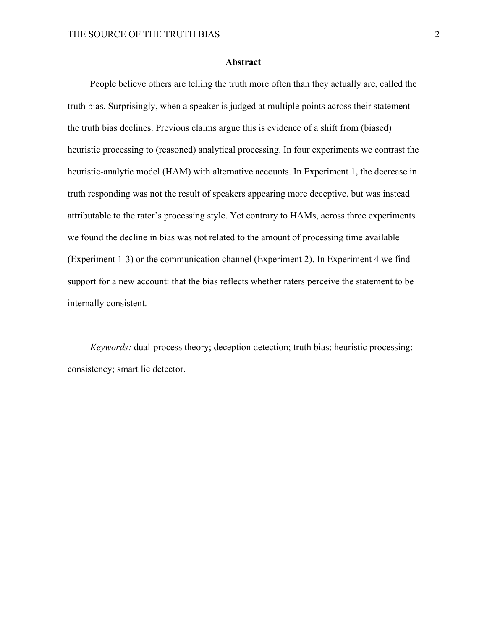### **Abstract**

People believe others are telling the truth more often than they actually are, called the truth bias. Surprisingly, when a speaker is judged at multiple points across their statement the truth bias declines. Previous claims argue this is evidence of a shift from (biased) heuristic processing to (reasoned) analytical processing. In four experiments we contrast the heuristic-analytic model (HAM) with alternative accounts. In Experiment 1, the decrease in truth responding was not the result of speakers appearing more deceptive, but was instead attributable to the rater's processing style. Yet contrary to HAMs, across three experiments we found the decline in bias was not related to the amount of processing time available (Experiment 1-3) or the communication channel (Experiment 2). In Experiment 4 we find support for a new account: that the bias reflects whether raters perceive the statement to be internally consistent.

*Keywords:* dual-process theory; deception detection; truth bias; heuristic processing; consistency; smart lie detector.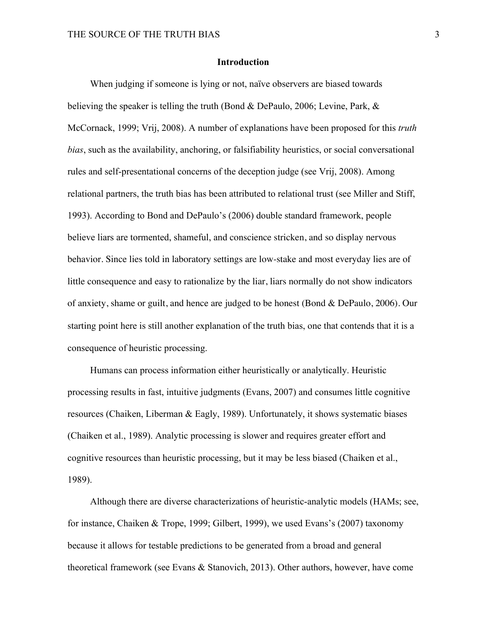## **Introduction**

When judging if someone is lying or not, naïve observers are biased towards believing the speaker is telling the truth (Bond & DePaulo, 2006; Levine, Park, & McCornack, 1999; Vrij, 2008). A number of explanations have been proposed for this *truth bias*, such as the availability, anchoring, or falsifiability heuristics, or social conversational rules and self-presentational concerns of the deception judge (see Vrij, 2008). Among relational partners, the truth bias has been attributed to relational trust (see Miller and Stiff, 1993). According to Bond and DePaulo's (2006) double standard framework, people believe liars are tormented, shameful, and conscience stricken, and so display nervous behavior. Since lies told in laboratory settings are low-stake and most everyday lies are of little consequence and easy to rationalize by the liar, liars normally do not show indicators of anxiety, shame or guilt, and hence are judged to be honest (Bond & DePaulo, 2006). Our starting point here is still another explanation of the truth bias, one that contends that it is a consequence of heuristic processing.

Humans can process information either heuristically or analytically. Heuristic processing results in fast, intuitive judgments (Evans, 2007) and consumes little cognitive resources (Chaiken, Liberman & Eagly, 1989). Unfortunately, it shows systematic biases (Chaiken et al., 1989). Analytic processing is slower and requires greater effort and cognitive resources than heuristic processing, but it may be less biased (Chaiken et al., 1989).

Although there are diverse characterizations of heuristic-analytic models (HAMs; see, for instance, Chaiken & Trope, 1999; Gilbert, 1999), we used Evans's (2007) taxonomy because it allows for testable predictions to be generated from a broad and general theoretical framework (see Evans & Stanovich, 2013). Other authors, however, have come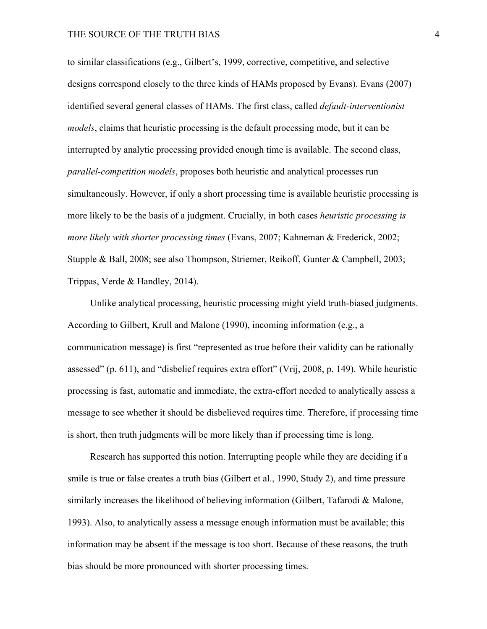to similar classifications (e.g., Gilbert's, 1999, corrective, competitive, and selective designs correspond closely to the three kinds of HAMs proposed by Evans). Evans (2007) identified several general classes of HAMs. The first class, called *default-interventionist models*, claims that heuristic processing is the default processing mode, but it can be interrupted by analytic processing provided enough time is available. The second class, *parallel-competition models*, proposes both heuristic and analytical processes run simultaneously. However, if only a short processing time is available heuristic processing is more likely to be the basis of a judgment. Crucially, in both cases *heuristic processing is more likely with shorter processing times* (Evans, 2007; Kahneman & Frederick, 2002; Stupple & Ball, 2008; see also Thompson, Striemer, Reikoff, Gunter & Campbell, 2003; Trippas, Verde & Handley, 2014).

Unlike analytical processing, heuristic processing might yield truth-biased judgments. According to Gilbert, Krull and Malone (1990), incoming information (e.g., a communication message) is first "represented as true before their validity can be rationally assessed" (p. 611), and "disbelief requires extra effort" (Vrij, 2008, p. 149). While heuristic processing is fast, automatic and immediate, the extra-effort needed to analytically assess a message to see whether it should be disbelieved requires time. Therefore, if processing time is short, then truth judgments will be more likely than if processing time is long.

Research has supported this notion. Interrupting people while they are deciding if a smile is true or false creates a truth bias (Gilbert et al., 1990, Study 2), and time pressure similarly increases the likelihood of believing information (Gilbert, Tafarodi & Malone, 1993). Also, to analytically assess a message enough information must be available; this information may be absent if the message is too short. Because of these reasons, the truth bias should be more pronounced with shorter processing times.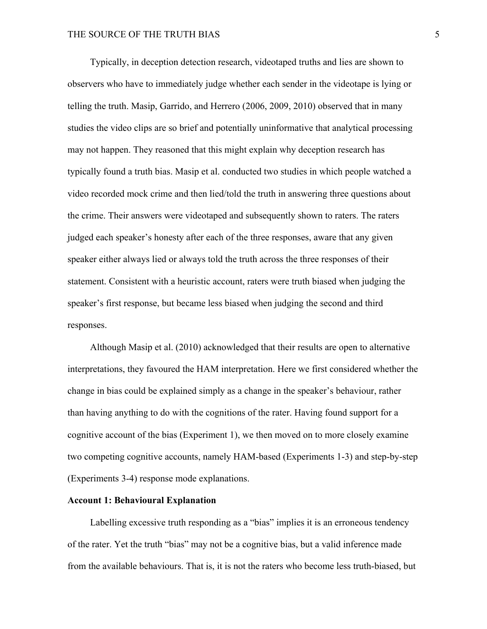Typically, in deception detection research, videotaped truths and lies are shown to observers who have to immediately judge whether each sender in the videotape is lying or telling the truth. Masip, Garrido, and Herrero (2006, 2009, 2010) observed that in many studies the video clips are so brief and potentially uninformative that analytical processing may not happen. They reasoned that this might explain why deception research has typically found a truth bias. Masip et al. conducted two studies in which people watched a video recorded mock crime and then lied/told the truth in answering three questions about the crime. Their answers were videotaped and subsequently shown to raters. The raters judged each speaker's honesty after each of the three responses, aware that any given speaker either always lied or always told the truth across the three responses of their statement. Consistent with a heuristic account, raters were truth biased when judging the speaker's first response, but became less biased when judging the second and third responses.

Although Masip et al. (2010) acknowledged that their results are open to alternative interpretations, they favoured the HAM interpretation. Here we first considered whether the change in bias could be explained simply as a change in the speaker's behaviour, rather than having anything to do with the cognitions of the rater. Having found support for a cognitive account of the bias (Experiment 1), we then moved on to more closely examine two competing cognitive accounts, namely HAM-based (Experiments 1-3) and step-by-step (Experiments 3-4) response mode explanations.

#### **Account 1: Behavioural Explanation**

Labelling excessive truth responding as a "bias" implies it is an erroneous tendency of the rater. Yet the truth "bias" may not be a cognitive bias, but a valid inference made from the available behaviours. That is, it is not the raters who become less truth-biased, but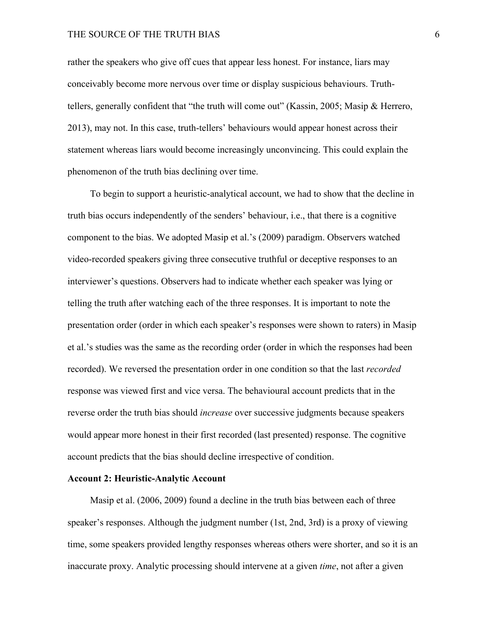#### THE SOURCE OF THE TRUTH BIAS 6

rather the speakers who give off cues that appear less honest. For instance, liars may conceivably become more nervous over time or display suspicious behaviours. Truthtellers, generally confident that "the truth will come out" (Kassin, 2005; Masip & Herrero, 2013), may not. In this case, truth-tellers' behaviours would appear honest across their statement whereas liars would become increasingly unconvincing. This could explain the phenomenon of the truth bias declining over time.

To begin to support a heuristic-analytical account, we had to show that the decline in truth bias occurs independently of the senders' behaviour, i.e., that there is a cognitive component to the bias. We adopted Masip et al.'s (2009) paradigm. Observers watched video-recorded speakers giving three consecutive truthful or deceptive responses to an interviewer's questions. Observers had to indicate whether each speaker was lying or telling the truth after watching each of the three responses. It is important to note the presentation order (order in which each speaker's responses were shown to raters) in Masip et al.'s studies was the same as the recording order (order in which the responses had been recorded). We reversed the presentation order in one condition so that the last *recorded* response was viewed first and vice versa. The behavioural account predicts that in the reverse order the truth bias should *increase* over successive judgments because speakers would appear more honest in their first recorded (last presented) response. The cognitive account predicts that the bias should decline irrespective of condition.

#### **Account 2: Heuristic-Analytic Account**

Masip et al. (2006, 2009) found a decline in the truth bias between each of three speaker's responses. Although the judgment number (1st, 2nd, 3rd) is a proxy of viewing time, some speakers provided lengthy responses whereas others were shorter, and so it is an inaccurate proxy. Analytic processing should intervene at a given *time*, not after a given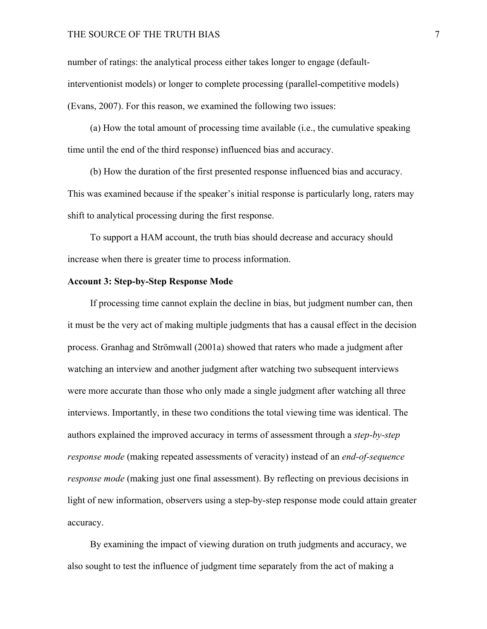#### THE SOURCE OF THE TRUTH BIAS 7

number of ratings: the analytical process either takes longer to engage (defaultinterventionist models) or longer to complete processing (parallel-competitive models) (Evans, 2007). For this reason, we examined the following two issues:

(a) How the total amount of processing time available (i.e., the cumulative speaking time until the end of the third response) influenced bias and accuracy.

(b) How the duration of the first presented response influenced bias and accuracy. This was examined because if the speaker's initial response is particularly long, raters may shift to analytical processing during the first response.

To support a HAM account, the truth bias should decrease and accuracy should increase when there is greater time to process information.

### **Account 3: Step-by-Step Response Mode**

If processing time cannot explain the decline in bias, but judgment number can, then it must be the very act of making multiple judgments that has a causal effect in the decision process. Granhag and Strömwall (2001a) showed that raters who made a judgment after watching an interview and another judgment after watching two subsequent interviews were more accurate than those who only made a single judgment after watching all three interviews. Importantly, in these two conditions the total viewing time was identical. The authors explained the improved accuracy in terms of assessment through a *step-by-step response mode* (making repeated assessments of veracity) instead of an *end-of-sequence response mode* (making just one final assessment). By reflecting on previous decisions in light of new information, observers using a step-by-step response mode could attain greater accuracy.

By examining the impact of viewing duration on truth judgments and accuracy, we also sought to test the influence of judgment time separately from the act of making a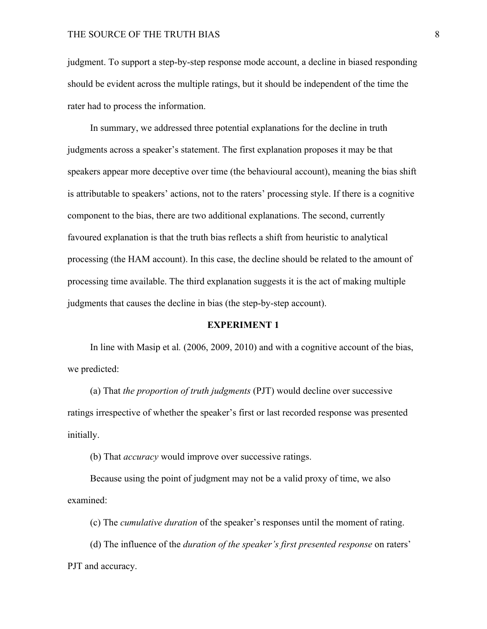judgment. To support a step-by-step response mode account, a decline in biased responding should be evident across the multiple ratings, but it should be independent of the time the rater had to process the information.

In summary, we addressed three potential explanations for the decline in truth judgments across a speaker's statement. The first explanation proposes it may be that speakers appear more deceptive over time (the behavioural account), meaning the bias shift is attributable to speakers' actions, not to the raters' processing style. If there is a cognitive component to the bias, there are two additional explanations. The second, currently favoured explanation is that the truth bias reflects a shift from heuristic to analytical processing (the HAM account). In this case, the decline should be related to the amount of processing time available. The third explanation suggests it is the act of making multiple judgments that causes the decline in bias (the step-by-step account).

#### **EXPERIMENT 1**

In line with Masip et al*.* (2006, 2009, 2010) and with a cognitive account of the bias, we predicted:

(a) That *the proportion of truth judgments* (PJT) would decline over successive ratings irrespective of whether the speaker's first or last recorded response was presented initially.

(b) That *accuracy* would improve over successive ratings.

Because using the point of judgment may not be a valid proxy of time, we also examined:

(c) The *cumulative duration* of the speaker's responses until the moment of rating.

(d) The influence of the *duration of the speaker's first presented response* on raters' PJT and accuracy.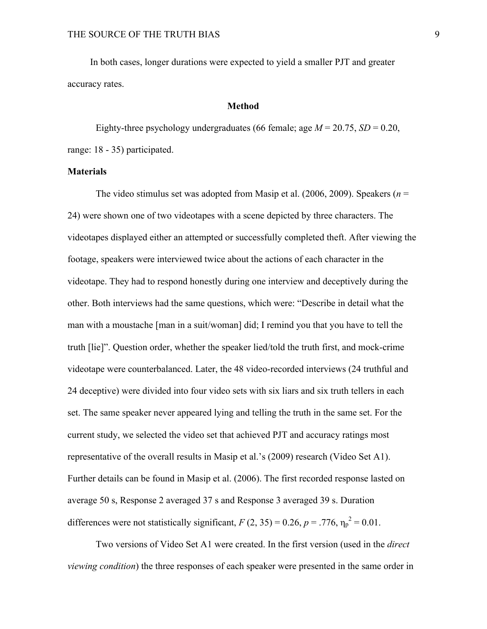In both cases, longer durations were expected to yield a smaller PJT and greater accuracy rates.

#### **Method**

Eighty-three psychology undergraduates (66 female; age  $M = 20.75$ ,  $SD = 0.20$ , range: 18 - 35) participated.

#### **Materials**

The video stimulus set was adopted from Masip et al. (2006, 2009). Speakers (*n* = 24) were shown one of two videotapes with a scene depicted by three characters. The videotapes displayed either an attempted or successfully completed theft. After viewing the footage, speakers were interviewed twice about the actions of each character in the videotape. They had to respond honestly during one interview and deceptively during the other. Both interviews had the same questions, which were: "Describe in detail what the man with a moustache [man in a suit/woman] did; I remind you that you have to tell the truth [lie]". Question order, whether the speaker lied/told the truth first, and mock-crime videotape were counterbalanced. Later, the 48 video-recorded interviews (24 truthful and 24 deceptive) were divided into four video sets with six liars and six truth tellers in each set. The same speaker never appeared lying and telling the truth in the same set. For the current study, we selected the video set that achieved PJT and accuracy ratings most representative of the overall results in Masip et al.'s (2009) research (Video Set A1). Further details can be found in Masip et al. (2006). The first recorded response lasted on average 50 s, Response 2 averaged 37 s and Response 3 averaged 39 s. Duration differences were not statistically significant,  $F(2, 35) = 0.26$ ,  $p = .776$ ,  $\eta_p^2 = 0.01$ .

Two versions of Video Set A1 were created. In the first version (used in the *direct viewing condition*) the three responses of each speaker were presented in the same order in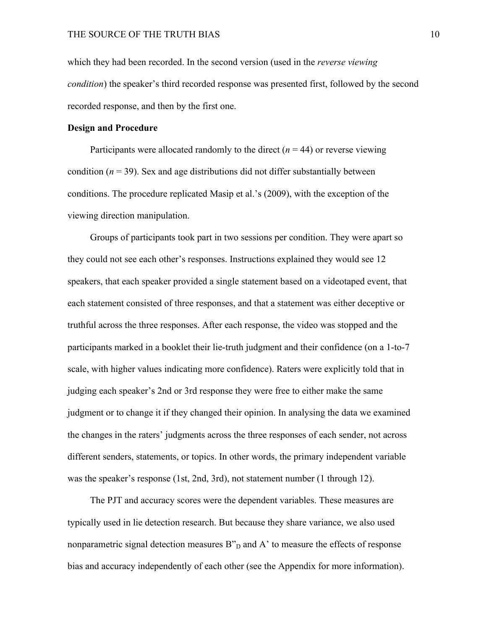which they had been recorded. In the second version (used in the *reverse viewing condition*) the speaker's third recorded response was presented first, followed by the second recorded response, and then by the first one.

#### **Design and Procedure**

Participants were allocated randomly to the direct  $(n = 44)$  or reverse viewing condition  $(n = 39)$ . Sex and age distributions did not differ substantially between conditions. The procedure replicated Masip et al.'s (2009), with the exception of the viewing direction manipulation.

Groups of participants took part in two sessions per condition. They were apart so they could not see each other's responses. Instructions explained they would see 12 speakers, that each speaker provided a single statement based on a videotaped event, that each statement consisted of three responses, and that a statement was either deceptive or truthful across the three responses. After each response, the video was stopped and the participants marked in a booklet their lie-truth judgment and their confidence (on a 1-to-7 scale, with higher values indicating more confidence). Raters were explicitly told that in judging each speaker's 2nd or 3rd response they were free to either make the same judgment or to change it if they changed their opinion. In analysing the data we examined the changes in the raters' judgments across the three responses of each sender, not across different senders, statements, or topics. In other words, the primary independent variable was the speaker's response (1st, 2nd, 3rd), not statement number (1 through 12).

The PJT and accuracy scores were the dependent variables. These measures are typically used in lie detection research. But because they share variance, we also used nonparametric signal detection measures  $B^{\prime\prime}$ <sub>D</sub> and A<sup> $\prime$ </sup> to measure the effects of response bias and accuracy independently of each other (see the Appendix for more information).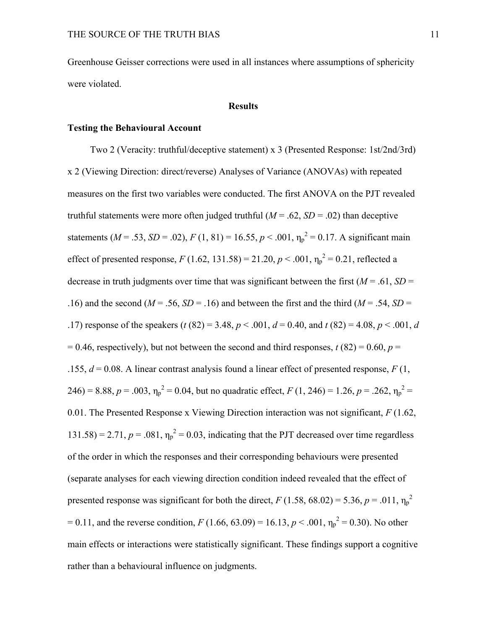Greenhouse Geisser corrections were used in all instances where assumptions of sphericity were violated.

#### **Results**

## **Testing the Behavioural Account**

Two 2 (Veracity: truthful/deceptive statement) x 3 (Presented Response: 1st/2nd/3rd) x 2 (Viewing Direction: direct/reverse) Analyses of Variance (ANOVAs) with repeated measures on the first two variables were conducted. The first ANOVA on the PJT revealed truthful statements were more often judged truthful  $(M = .62, SD = .02)$  than deceptive statements ( $M = .53$ ,  $SD = .02$ ),  $F(1, 81) = 16.55$ ,  $p < .001$ ,  $\eta_p^2 = 0.17$ . A significant main effect of presented response,  $F(1.62, 131.58) = 21.20, p < .001, \eta_p^2 = 0.21$ , reflected a decrease in truth judgments over time that was significant between the first  $(M = .61, SD =$ .16) and the second ( $M = .56$ ,  $SD = .16$ ) and between the first and the third ( $M = .54$ ,  $SD =$ .17) response of the speakers ( $t$  (82) = 3.48,  $p < .001$ ,  $d = 0.40$ , and  $t$  (82) = 4.08,  $p < .001$ ,  $d$  $= 0.46$ , respectively), but not between the second and third responses,  $t(82) = 0.60$ ,  $p =$ .155,  $d = 0.08$ . A linear contrast analysis found a linear effect of presented response,  $F(1)$ , 246) = 8.88,  $p = .003$ ,  $\eta_p^2 = 0.04$ , but no quadratic effect,  $F(1, 246) = 1.26$ ,  $p = .262$ ,  $\eta_p^2 =$ 0.01. The Presented Response x Viewing Direction interaction was not significant, *F* (1.62,  $131.58$ ) = 2.71,  $p = .081$ ,  $\eta_p^2 = 0.03$ , indicating that the PJT decreased over time regardless of the order in which the responses and their corresponding behaviours were presented (separate analyses for each viewing direction condition indeed revealed that the effect of presented response was significant for both the direct,  $F(1.58, 68.02) = 5.36, p = .011, \eta_p^2$  $= 0.11$ , and the reverse condition, *F* (1.66, 63.09) = 16.13, *p* < .001,  $\eta_p^2 = 0.30$ ). No other main effects or interactions were statistically significant. These findings support a cognitive rather than a behavioural influence on judgments.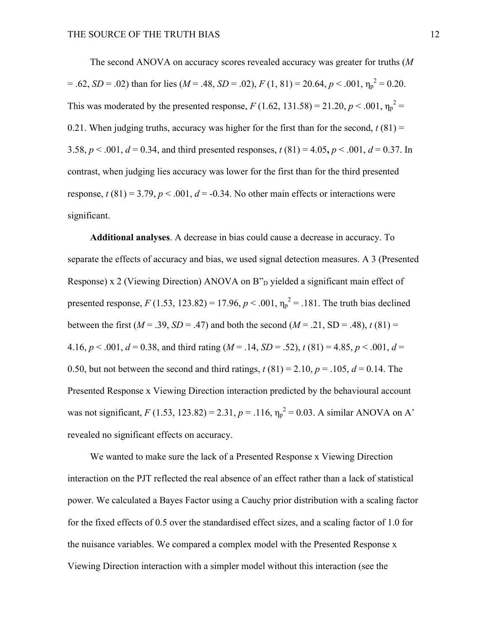The second ANOVA on accuracy scores revealed accuracy was greater for truths (*M*  $= .62$ , *SD* = .02) than for lies (*M* = .48, *SD* = .02), *F* (1, 81) = 20.64, *p* < .001,  $\eta_p^2 = 0.20$ . This was moderated by the presented response,  $F(1.62, 131.58) = 21.20, p < .001, \eta_p^2 =$ 0.21. When judging truths, accuracy was higher for the first than for the second,  $t(81) =$ 3.58,  $p < .001$ ,  $d = 0.34$ , and third presented responses,  $t(81) = 4.05$ ,  $p < .001$ ,  $d = 0.37$ . In contrast, when judging lies accuracy was lower for the first than for the third presented response,  $t(81) = 3.79$ ,  $p < .001$ ,  $d = -0.34$ . No other main effects or interactions were significant.

**Additional analyses**. A decrease in bias could cause a decrease in accuracy. To separate the effects of accuracy and bias, we used signal detection measures. A 3 (Presented Response) x 2 (Viewing Direction) ANOVA on  $B_{D}^{n}$  yielded a significant main effect of presented response,  $F(1.53, 123.82) = 17.96$ ,  $p < .001$ ,  $\eta_p^2 = .181$ . The truth bias declined between the first ( $M = .39$ ,  $SD = .47$ ) and both the second ( $M = .21$ ,  $SD = .48$ ),  $t(81) =$ 4.16,  $p < .001$ ,  $d = 0.38$ , and third rating ( $M = .14$ ,  $SD = .52$ ),  $t(81) = 4.85$ ,  $p < .001$ ,  $d =$ 0.50, but not between the second and third ratings,  $t(81) = 2.10$ ,  $p = .105$ ,  $d = 0.14$ . The Presented Response x Viewing Direction interaction predicted by the behavioural account was not significant, *F* (1.53, 123.82) = 2.31,  $p = .116$ ,  $\eta_p^2 = 0.03$ . A similar ANOVA on A' revealed no significant effects on accuracy.

We wanted to make sure the lack of a Presented Response x Viewing Direction interaction on the PJT reflected the real absence of an effect rather than a lack of statistical power. We calculated a Bayes Factor using a Cauchy prior distribution with a scaling factor for the fixed effects of 0.5 over the standardised effect sizes, and a scaling factor of 1.0 for the nuisance variables. We compared a complex model with the Presented Response x Viewing Direction interaction with a simpler model without this interaction (see the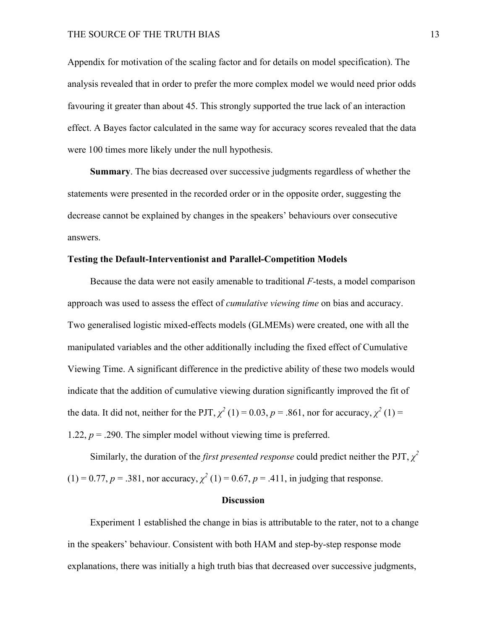#### THE SOURCE OF THE TRUTH BIAS 13

Appendix for motivation of the scaling factor and for details on model specification). The analysis revealed that in order to prefer the more complex model we would need prior odds favouring it greater than about 45. This strongly supported the true lack of an interaction effect. A Bayes factor calculated in the same way for accuracy scores revealed that the data were 100 times more likely under the null hypothesis.

**Summary**. The bias decreased over successive judgments regardless of whether the statements were presented in the recorded order or in the opposite order, suggesting the decrease cannot be explained by changes in the speakers' behaviours over consecutive answers.

## **Testing the Default-Interventionist and Parallel-Competition Models**

Because the data were not easily amenable to traditional *F*-tests, a model comparison approach was used to assess the effect of *cumulative viewing time* on bias and accuracy. Two generalised logistic mixed-effects models (GLMEMs) were created, one with all the manipulated variables and the other additionally including the fixed effect of Cumulative Viewing Time. A significant difference in the predictive ability of these two models would indicate that the addition of cumulative viewing duration significantly improved the fit of the data. It did not, neither for the PJT,  $\chi^2(1) = 0.03$ ,  $p = .861$ , nor for accuracy,  $\chi^2(1) =$ 1.22,  $p = 0.290$ . The simpler model without viewing time is preferred.

Similarly, the duration of the *first presented response* could predict neither the PJT,  $\chi^2$  $(1) = 0.77, p = .381$ , nor accuracy,  $\chi^2(1) = 0.67, p = .411$ , in judging that response.

### **Discussion**

Experiment 1 established the change in bias is attributable to the rater, not to a change in the speakers' behaviour. Consistent with both HAM and step-by-step response mode explanations, there was initially a high truth bias that decreased over successive judgments,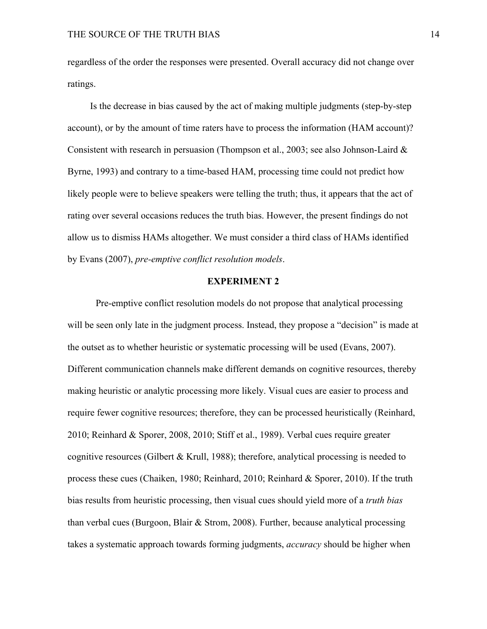regardless of the order the responses were presented. Overall accuracy did not change over ratings.

Is the decrease in bias caused by the act of making multiple judgments (step-by-step account), or by the amount of time raters have to process the information (HAM account)? Consistent with research in persuasion (Thompson et al., 2003; see also Johnson-Laird & Byrne, 1993) and contrary to a time-based HAM, processing time could not predict how likely people were to believe speakers were telling the truth; thus, it appears that the act of rating over several occasions reduces the truth bias. However, the present findings do not allow us to dismiss HAMs altogether. We must consider a third class of HAMs identified by Evans (2007), *pre-emptive conflict resolution models*.

### **EXPERIMENT 2**

Pre-emptive conflict resolution models do not propose that analytical processing will be seen only late in the judgment process. Instead, they propose a "decision" is made at the outset as to whether heuristic or systematic processing will be used (Evans, 2007). Different communication channels make different demands on cognitive resources, thereby making heuristic or analytic processing more likely. Visual cues are easier to process and require fewer cognitive resources; therefore, they can be processed heuristically (Reinhard, 2010; Reinhard & Sporer, 2008, 2010; Stiff et al., 1989). Verbal cues require greater cognitive resources (Gilbert & Krull, 1988); therefore, analytical processing is needed to process these cues (Chaiken, 1980; Reinhard, 2010; Reinhard & Sporer, 2010). If the truth bias results from heuristic processing, then visual cues should yield more of a *truth bias* than verbal cues (Burgoon, Blair & Strom, 2008). Further, because analytical processing takes a systematic approach towards forming judgments, *accuracy* should be higher when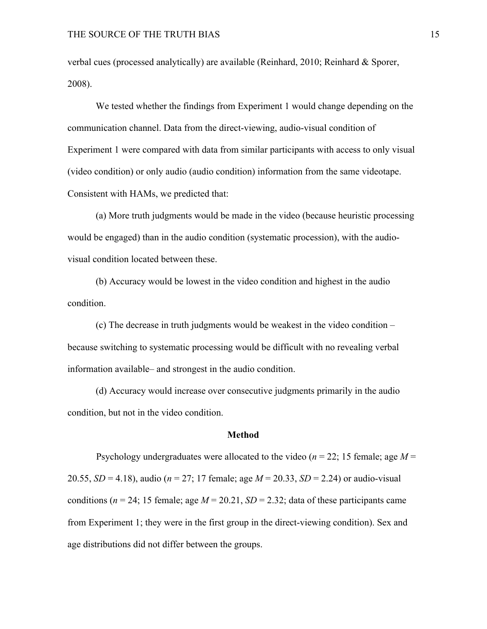verbal cues (processed analytically) are available (Reinhard, 2010; Reinhard & Sporer, 2008).

We tested whether the findings from Experiment 1 would change depending on the communication channel. Data from the direct-viewing, audio-visual condition of Experiment 1 were compared with data from similar participants with access to only visual (video condition) or only audio (audio condition) information from the same videotape. Consistent with HAMs, we predicted that:

(a) More truth judgments would be made in the video (because heuristic processing would be engaged) than in the audio condition (systematic procession), with the audiovisual condition located between these.

(b) Accuracy would be lowest in the video condition and highest in the audio condition.

(c) The decrease in truth judgments would be weakest in the video condition – because switching to systematic processing would be difficult with no revealing verbal information available– and strongest in the audio condition.

(d) Accuracy would increase over consecutive judgments primarily in the audio condition, but not in the video condition.

#### **Method**

Psychology undergraduates were allocated to the video (*n* = 22; 15 female; age *M* = 20.55, *SD* = 4.18), audio (*n* = 27; 17 female; age *M* = 20.33, *SD* = 2.24) or audio-visual conditions ( $n = 24$ ; 15 female; age  $M = 20.21$ ,  $SD = 2.32$ ; data of these participants came from Experiment 1; they were in the first group in the direct-viewing condition). Sex and age distributions did not differ between the groups.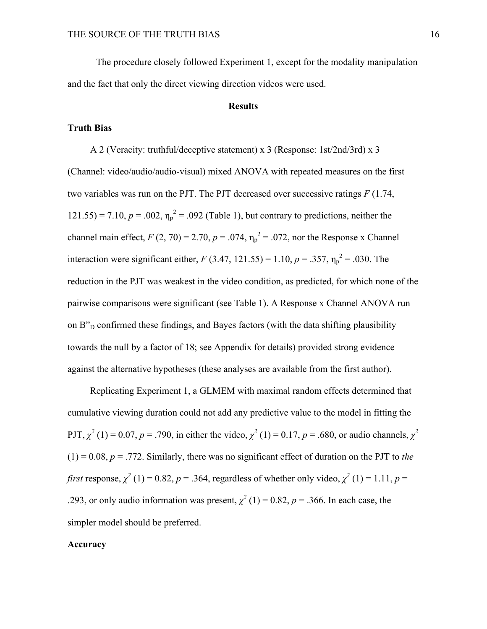The procedure closely followed Experiment 1, except for the modality manipulation and the fact that only the direct viewing direction videos were used.

## **Results**

## **Truth Bias**

A 2 (Veracity: truthful/deceptive statement) x 3 (Response: 1st/2nd/3rd) x 3 (Channel: video/audio/audio-visual) mixed ANOVA with repeated measures on the first two variables was run on the PJT. The PJT decreased over successive ratings *F* (1.74, 121.55) = 7.10,  $p = .002$ ,  $\eta_p^2 = .092$  (Table 1), but contrary to predictions, neither the channel main effect,  $F(2, 70) = 2.70$ ,  $p = .074$ ,  $\eta_p^2 = .072$ , nor the Response x Channel interaction were significant either, *F* (3.47, 121.55) = 1.10, *p* = .357,  $\eta_p^2$  = .030. The reduction in the PJT was weakest in the video condition, as predicted, for which none of the pairwise comparisons were significant (see Table 1). A Response x Channel ANOVA run on B"<sub>D</sub> confirmed these findings, and Bayes factors (with the data shifting plausibility towards the null by a factor of 18; see Appendix for details) provided strong evidence against the alternative hypotheses (these analyses are available from the first author).

Replicating Experiment 1, a GLMEM with maximal random effects determined that cumulative viewing duration could not add any predictive value to the model in fitting the PJT,  $\chi^2$  (1) = 0.07, *p* = .790, in either the video,  $\chi^2$  (1) = 0.17, *p* = .680, or audio channels,  $\chi^2$  $(1) = 0.08$ ,  $p = .772$ . Similarly, there was no significant effect of duration on the PJT to *the first* response,  $\chi^2$  (1) = 0.82, *p* = .364, regardless of whether only video,  $\chi^2$  (1) = 1.11, *p* = .293, or only audio information was present,  $\chi^2$  (1) = 0.82, *p* = .366. In each case, the simpler model should be preferred.

#### **Accuracy**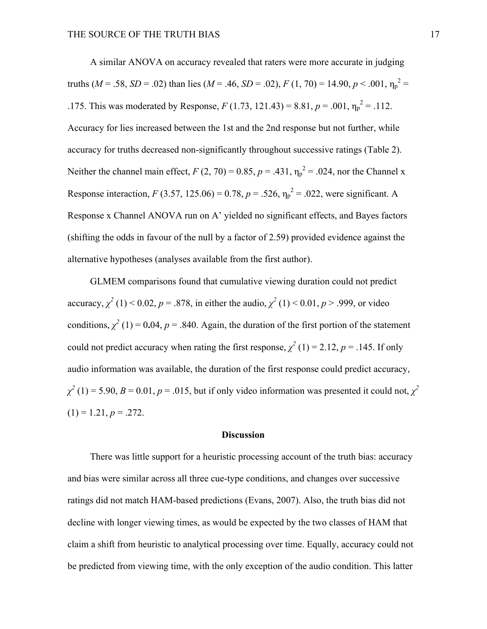A similar ANOVA on accuracy revealed that raters were more accurate in judging truths (*M* = .58, *SD* = .02) than lies (*M* = .46, *SD* = .02), *F* (1, 70) = 14.90, *p* < .001,  $η<sub>p</sub><sup>2</sup>$  = .175. This was moderated by Response,  $F (1.73, 121.43) = 8.81, p = .001, \eta_p^2 = .112$ . Accuracy for lies increased between the 1st and the 2nd response but not further, while accuracy for truths decreased non-significantly throughout successive ratings (Table 2). Neither the channel main effect,  $F(2, 70) = 0.85$ ,  $p = .431$ ,  $\eta_p^2 = .024$ , nor the Channel x Response interaction,  $F(3.57, 125.06) = 0.78$ ,  $p = .526$ ,  $\eta_p^2 = .022$ , were significant. A Response x Channel ANOVA run on A' yielded no significant effects, and Bayes factors (shifting the odds in favour of the null by a factor of 2.59) provided evidence against the alternative hypotheses (analyses available from the first author).

GLMEM comparisons found that cumulative viewing duration could not predict accuracy,  $\chi^2$  (1) < 0.02, *p* = .878, in either the audio,  $\chi^2$  (1) < 0.01, *p* > .999, or video conditions,  $\chi^2$  (1) = 0.04, *p* = .840. Again, the duration of the first portion of the statement could not predict accuracy when rating the first response,  $\chi^2$  (1) = 2.12, *p* = .145. If only audio information was available, the duration of the first response could predict accuracy,  $\chi^2$  (1) = 5.90, *B* = 0.01, *p* = .015, but if only video information was presented it could not,  $\chi^2$  $(1) = 1.21, p = .272.$ 

#### **Discussion**

There was little support for a heuristic processing account of the truth bias: accuracy and bias were similar across all three cue-type conditions, and changes over successive ratings did not match HAM-based predictions (Evans, 2007). Also, the truth bias did not decline with longer viewing times, as would be expected by the two classes of HAM that claim a shift from heuristic to analytical processing over time. Equally, accuracy could not be predicted from viewing time, with the only exception of the audio condition. This latter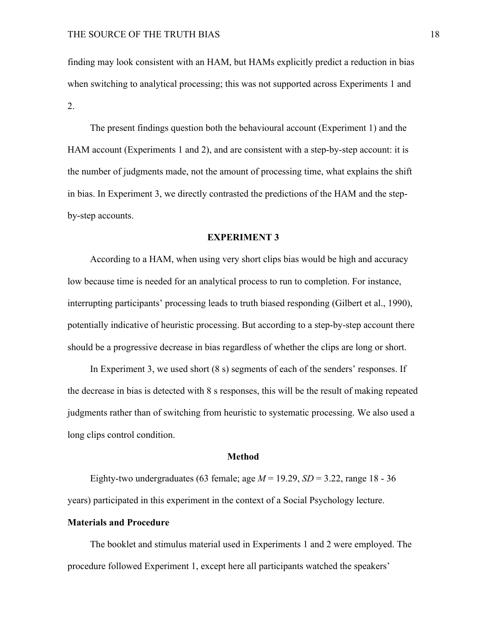finding may look consistent with an HAM, but HAMs explicitly predict a reduction in bias when switching to analytical processing; this was not supported across Experiments 1 and 2.

The present findings question both the behavioural account (Experiment 1) and the HAM account (Experiments 1 and 2), and are consistent with a step-by-step account: it is the number of judgments made, not the amount of processing time, what explains the shift in bias. In Experiment 3, we directly contrasted the predictions of the HAM and the stepby-step accounts.

#### **EXPERIMENT 3**

According to a HAM, when using very short clips bias would be high and accuracy low because time is needed for an analytical process to run to completion. For instance, interrupting participants' processing leads to truth biased responding (Gilbert et al., 1990), potentially indicative of heuristic processing. But according to a step-by-step account there should be a progressive decrease in bias regardless of whether the clips are long or short.

In Experiment 3, we used short (8 s) segments of each of the senders' responses. If the decrease in bias is detected with 8 s responses, this will be the result of making repeated judgments rather than of switching from heuristic to systematic processing. We also used a long clips control condition.

#### **Method**

Eighty-two undergraduates (63 female; age  $M = 19.29$ ,  $SD = 3.22$ , range 18 - 36 years) participated in this experiment in the context of a Social Psychology lecture.

#### **Materials and Procedure**

The booklet and stimulus material used in Experiments 1 and 2 were employed. The procedure followed Experiment 1, except here all participants watched the speakers'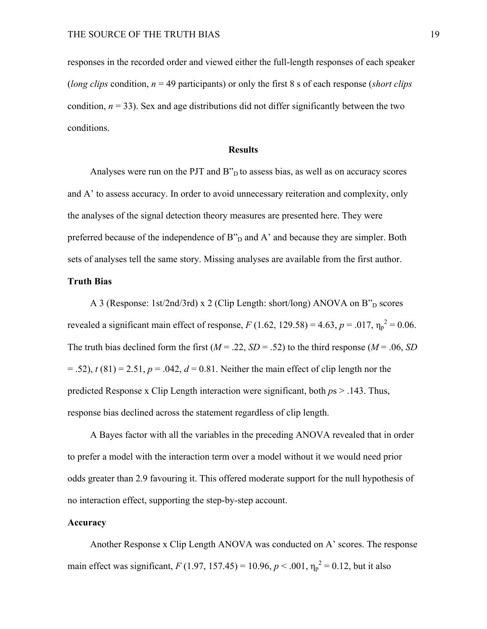responses in the recorded order and viewed either the full-length responses of each speaker (*long clips* condition, *n* = 49 participants) or only the first 8 s of each response (*short clips*  condition,  $n = 33$ ). Sex and age distributions did not differ significantly between the two conditions.

### **Results**

Analyses were run on the PJT and  $B_{D}^{n}$  to assess bias, as well as on accuracy scores and A' to assess accuracy. In order to avoid unnecessary reiteration and complexity, only the analyses of the signal detection theory measures are presented here. They were preferred because of the independence of  $B_{D}^{n}$  and A' and because they are simpler. Both sets of analyses tell the same story. Missing analyses are available from the first author.

## **Truth Bias**

A 3 (Response: 1st/2nd/3rd) x 2 (Clip Length: short/long) ANOVA on  $B_{D}^{n}$  scores revealed a significant main effect of response,  $F(1.62, 129.58) = 4.63$ ,  $p = .017$ ,  $\eta_p^2 = 0.06$ . The truth bias declined form the first  $(M = .22, SD = .52)$  to the third response  $(M = .06, SD)$  $(6.52)$ ,  $t(81) = 2.51$ ,  $p = .042$ ,  $d = 0.81$ . Neither the main effect of clip length nor the predicted Response x Clip Length interaction were significant, both *p*s > .143. Thus, response bias declined across the statement regardless of clip length.

A Bayes factor with all the variables in the preceding ANOVA revealed that in order to prefer a model with the interaction term over a model without it we would need prior odds greater than 2.9 favouring it. This offered moderate support for the null hypothesis of no interaction effect, supporting the step-by-step account.

## **Accuracy**

Another Response x Clip Length ANOVA was conducted on A' scores. The response main effect was significant,  $F(1.97, 157.45) = 10.96$ ,  $p < .001$ ,  $\eta_p^2 = 0.12$ , but it also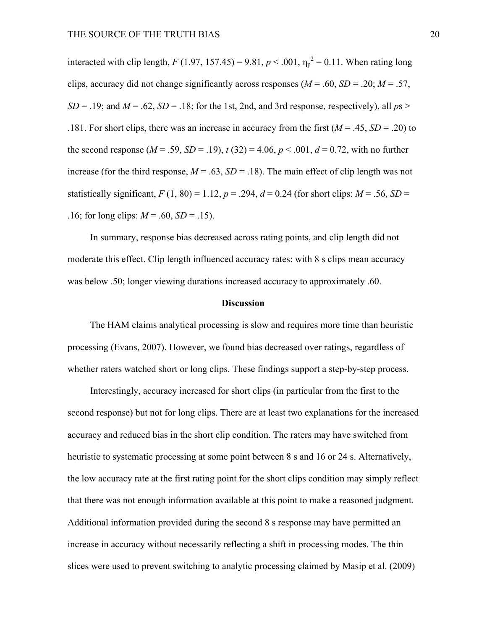interacted with clip length,  $F(1.97, 157.45) = 9.81, p < .001, \eta_p^2 = 0.11$ . When rating long clips, accuracy did not change significantly across responses ( $M = .60$ ,  $SD = .20$ ;  $M = .57$ ,  $SD = .19$ ; and  $M = .62$ ,  $SD = .18$ ; for the 1st, 2nd, and 3rd response, respectively), all  $ps >$ .181. For short clips, there was an increase in accuracy from the first  $(M = .45, SD = .20)$  to the second response  $(M = .59, SD = .19)$ ,  $t(32) = 4.06$ ,  $p < .001$ ,  $d = 0.72$ , with no further increase (for the third response,  $M = .63$ ,  $SD = .18$ ). The main effect of clip length was not statistically significant,  $F(1, 80) = 1.12$ ,  $p = .294$ ,  $d = 0.24$  (for short clips:  $M = .56$ , *SD* = .16; for long clips:  $M = .60$ ,  $SD = .15$ ).

In summary, response bias decreased across rating points, and clip length did not moderate this effect. Clip length influenced accuracy rates: with 8 s clips mean accuracy was below .50; longer viewing durations increased accuracy to approximately .60.

## **Discussion**

The HAM claims analytical processing is slow and requires more time than heuristic processing (Evans, 2007). However, we found bias decreased over ratings, regardless of whether raters watched short or long clips. These findings support a step-by-step process.

Interestingly, accuracy increased for short clips (in particular from the first to the second response) but not for long clips. There are at least two explanations for the increased accuracy and reduced bias in the short clip condition. The raters may have switched from heuristic to systematic processing at some point between 8 s and 16 or 24 s. Alternatively, the low accuracy rate at the first rating point for the short clips condition may simply reflect that there was not enough information available at this point to make a reasoned judgment. Additional information provided during the second 8 s response may have permitted an increase in accuracy without necessarily reflecting a shift in processing modes. The thin slices were used to prevent switching to analytic processing claimed by Masip et al. (2009)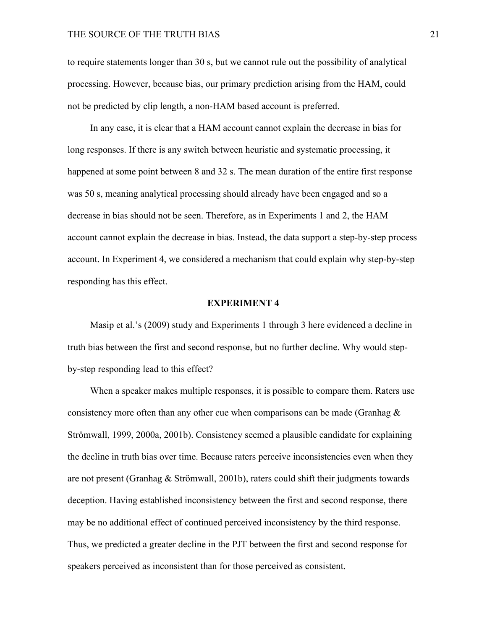to require statements longer than 30 s, but we cannot rule out the possibility of analytical processing. However, because bias, our primary prediction arising from the HAM, could not be predicted by clip length, a non-HAM based account is preferred.

In any case, it is clear that a HAM account cannot explain the decrease in bias for long responses. If there is any switch between heuristic and systematic processing, it happened at some point between 8 and 32 s. The mean duration of the entire first response was 50 s, meaning analytical processing should already have been engaged and so a decrease in bias should not be seen. Therefore, as in Experiments 1 and 2, the HAM account cannot explain the decrease in bias. Instead, the data support a step-by-step process account. In Experiment 4, we considered a mechanism that could explain why step-by-step responding has this effect.

#### **EXPERIMENT 4**

Masip et al.'s (2009) study and Experiments 1 through 3 here evidenced a decline in truth bias between the first and second response, but no further decline. Why would stepby-step responding lead to this effect?

When a speaker makes multiple responses, it is possible to compare them. Raters use consistency more often than any other cue when comparisons can be made (Granhag  $\&$ Strömwall, 1999, 2000a, 2001b). Consistency seemed a plausible candidate for explaining the decline in truth bias over time. Because raters perceive inconsistencies even when they are not present (Granhag & Strömwall, 2001b), raters could shift their judgments towards deception. Having established inconsistency between the first and second response, there may be no additional effect of continued perceived inconsistency by the third response. Thus, we predicted a greater decline in the PJT between the first and second response for speakers perceived as inconsistent than for those perceived as consistent.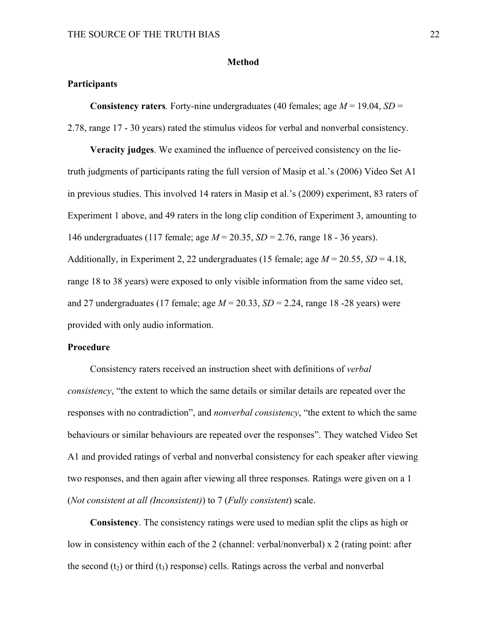### **Method**

#### **Participants**

**Consistency raters***.* Forty-nine undergraduates (40 females; age  $M = 19.04$ ,  $SD =$ 

2.78, range 17 - 30 years) rated the stimulus videos for verbal and nonverbal consistency.

**Veracity judges**. We examined the influence of perceived consistency on the lietruth judgments of participants rating the full version of Masip et al.'s (2006) Video Set A1 in previous studies. This involved 14 raters in Masip et al.'s (2009) experiment, 83 raters of Experiment 1 above, and 49 raters in the long clip condition of Experiment 3, amounting to 146 undergraduates (117 female; age *M* = 20.35, *SD* = 2.76, range 18 - 36 years). Additionally, in Experiment 2, 22 undergraduates (15 female; age *M* = 20.55, *SD* = 4.18, range 18 to 38 years) were exposed to only visible information from the same video set, and 27 undergraduates (17 female; age *M* = 20.33, *SD* = 2.24, range 18 -28 years) were provided with only audio information.

## **Procedure**

Consistency raters received an instruction sheet with definitions of *verbal consistency*, "the extent to which the same details or similar details are repeated over the responses with no contradiction", and *nonverbal consistency*, "the extent to which the same behaviours or similar behaviours are repeated over the responses". They watched Video Set A1 and provided ratings of verbal and nonverbal consistency for each speaker after viewing two responses, and then again after viewing all three responses. Ratings were given on a 1 (*Not consistent at all (Inconsistent)*) to 7 (*Fully consistent*) scale.

**Consistency**. The consistency ratings were used to median split the clips as high or low in consistency within each of the 2 (channel: verbal/nonverbal) x 2 (rating point: after the second (t<sub>2</sub>) or third (t<sub>3</sub>) response) cells. Ratings across the verbal and nonverbal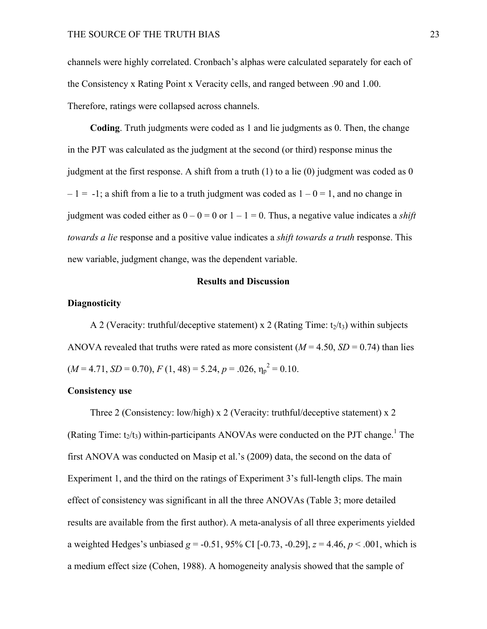channels were highly correlated. Cronbach's alphas were calculated separately for each of the Consistency x Rating Point x Veracity cells, and ranged between .90 and 1.00. Therefore, ratings were collapsed across channels.

**Coding**. Truth judgments were coded as 1 and lie judgments as 0. Then, the change in the PJT was calculated as the judgment at the second (or third) response minus the judgment at the first response. A shift from a truth  $(1)$  to a lie  $(0)$  judgment was coded as 0  $-1 = -1$ ; a shift from a lie to a truth judgment was coded as  $1 - 0 = 1$ , and no change in judgment was coded either as  $0 - 0 = 0$  or  $1 - 1 = 0$ . Thus, a negative value indicates a *shift towards a lie* response and a positive value indicates a *shift towards a truth* response. This new variable, judgment change, was the dependent variable.

#### **Results and Discussion**

## **Diagnosticity**

A 2 (Veracity: truthful/deceptive statement) x 2 (Rating Time:  $t_2/t_3$ ) within subjects ANOVA revealed that truths were rated as more consistent  $(M = 4.50, SD = 0.74)$  than lies  $(M = 4.71, SD = 0.70), F(1, 48) = 5.24, p = .026, \eta_p^2 = 0.10.$ 

### **Consistency use**

Three 2 (Consistency: low/high) x 2 (Veracity: truthful/deceptive statement) x 2 (Rating Time:  $t_2/t_3$ ) within-participants ANOVAs were conducted on the PJT change.<sup>1</sup> The first ANOVA was conducted on Masip et al.'s (2009) data, the second on the data of Experiment 1, and the third on the ratings of Experiment 3's full-length clips. The main effect of consistency was significant in all the three ANOVAs (Table 3; more detailed results are available from the first author). A meta-analysis of all three experiments yielded a weighted Hedges's unbiased  $g = -0.51$ , 95% CI  $[-0.73, -0.29]$ ,  $z = 4.46$ ,  $p < .001$ , which is a medium effect size (Cohen, 1988). A homogeneity analysis showed that the sample of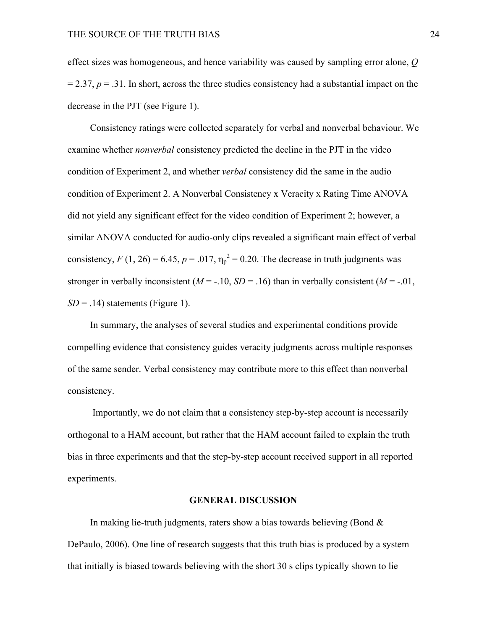effect sizes was homogeneous, and hence variability was caused by sampling error alone, *Q*  $= 2.37$ ,  $p = .31$ . In short, across the three studies consistency had a substantial impact on the decrease in the PJT (see Figure 1).

Consistency ratings were collected separately for verbal and nonverbal behaviour. We examine whether *nonverbal* consistency predicted the decline in the PJT in the video condition of Experiment 2, and whether *verbal* consistency did the same in the audio condition of Experiment 2. A Nonverbal Consistency x Veracity x Rating Time ANOVA did not yield any significant effect for the video condition of Experiment 2; however, a similar ANOVA conducted for audio-only clips revealed a significant main effect of verbal consistency,  $F(1, 26) = 6.45$ ,  $p = .017$ ,  $\eta_p^2 = 0.20$ . The decrease in truth judgments was stronger in verbally inconsistent  $(M = -10, SD = 0.16)$  than in verbally consistent  $(M = -0.01,$  $SD = .14$ ) statements (Figure 1).

In summary, the analyses of several studies and experimental conditions provide compelling evidence that consistency guides veracity judgments across multiple responses of the same sender. Verbal consistency may contribute more to this effect than nonverbal consistency.

Importantly, we do not claim that a consistency step-by-step account is necessarily orthogonal to a HAM account, but rather that the HAM account failed to explain the truth bias in three experiments and that the step-by-step account received support in all reported experiments.

#### **GENERAL DISCUSSION**

In making lie-truth judgments, raters show a bias towards believing (Bond  $\&$ DePaulo, 2006). One line of research suggests that this truth bias is produced by a system that initially is biased towards believing with the short 30 s clips typically shown to lie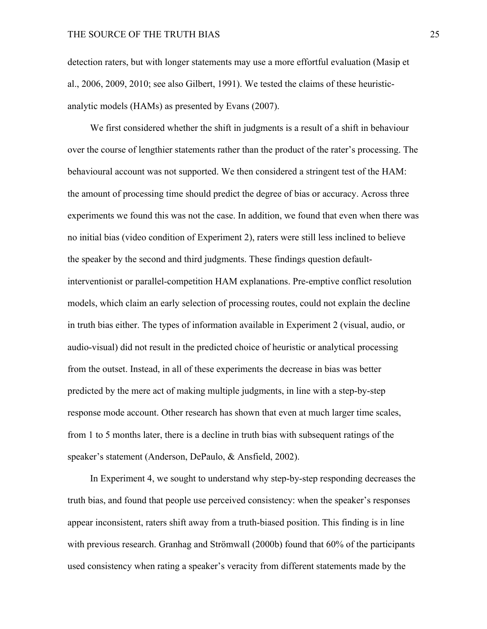detection raters, but with longer statements may use a more effortful evaluation (Masip et al., 2006, 2009, 2010; see also Gilbert, 1991). We tested the claims of these heuristicanalytic models (HAMs) as presented by Evans (2007).

We first considered whether the shift in judgments is a result of a shift in behaviour over the course of lengthier statements rather than the product of the rater's processing. The behavioural account was not supported. We then considered a stringent test of the HAM: the amount of processing time should predict the degree of bias or accuracy. Across three experiments we found this was not the case. In addition, we found that even when there was no initial bias (video condition of Experiment 2), raters were still less inclined to believe the speaker by the second and third judgments. These findings question defaultinterventionist or parallel-competition HAM explanations. Pre-emptive conflict resolution models, which claim an early selection of processing routes, could not explain the decline in truth bias either. The types of information available in Experiment 2 (visual, audio, or audio-visual) did not result in the predicted choice of heuristic or analytical processing from the outset. Instead, in all of these experiments the decrease in bias was better predicted by the mere act of making multiple judgments, in line with a step-by-step response mode account. Other research has shown that even at much larger time scales, from 1 to 5 months later, there is a decline in truth bias with subsequent ratings of the speaker's statement (Anderson, DePaulo, & Ansfield, 2002).

In Experiment 4, we sought to understand why step-by-step responding decreases the truth bias, and found that people use perceived consistency: when the speaker's responses appear inconsistent, raters shift away from a truth-biased position. This finding is in line with previous research. Granhag and Strömwall (2000b) found that 60% of the participants used consistency when rating a speaker's veracity from different statements made by the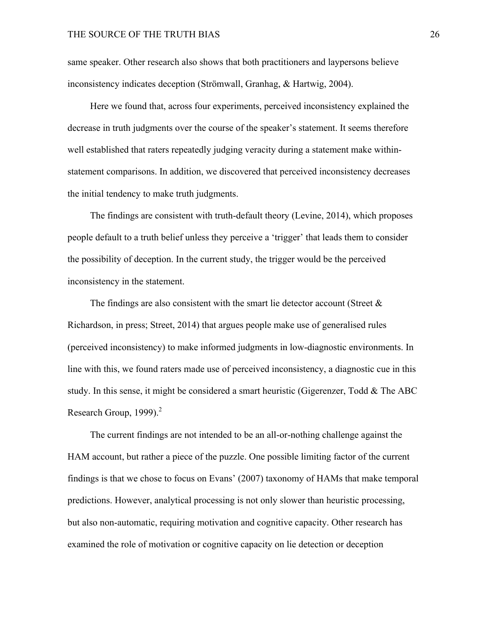same speaker. Other research also shows that both practitioners and laypersons believe inconsistency indicates deception (Strömwall, Granhag, & Hartwig, 2004).

Here we found that, across four experiments, perceived inconsistency explained the decrease in truth judgments over the course of the speaker's statement. It seems therefore well established that raters repeatedly judging veracity during a statement make withinstatement comparisons. In addition, we discovered that perceived inconsistency decreases the initial tendency to make truth judgments.

The findings are consistent with truth-default theory (Levine, 2014), which proposes people default to a truth belief unless they perceive a 'trigger' that leads them to consider the possibility of deception. In the current study, the trigger would be the perceived inconsistency in the statement.

The findings are also consistent with the smart lie detector account (Street  $\&$ Richardson, in press; Street, 2014) that argues people make use of generalised rules (perceived inconsistency) to make informed judgments in low-diagnostic environments. In line with this, we found raters made use of perceived inconsistency, a diagnostic cue in this study. In this sense, it might be considered a smart heuristic (Gigerenzer, Todd & The ABC Research Group,  $1999$ ).<sup>2</sup>

The current findings are not intended to be an all-or-nothing challenge against the HAM account, but rather a piece of the puzzle. One possible limiting factor of the current findings is that we chose to focus on Evans' (2007) taxonomy of HAMs that make temporal predictions. However, analytical processing is not only slower than heuristic processing, but also non-automatic, requiring motivation and cognitive capacity. Other research has examined the role of motivation or cognitive capacity on lie detection or deception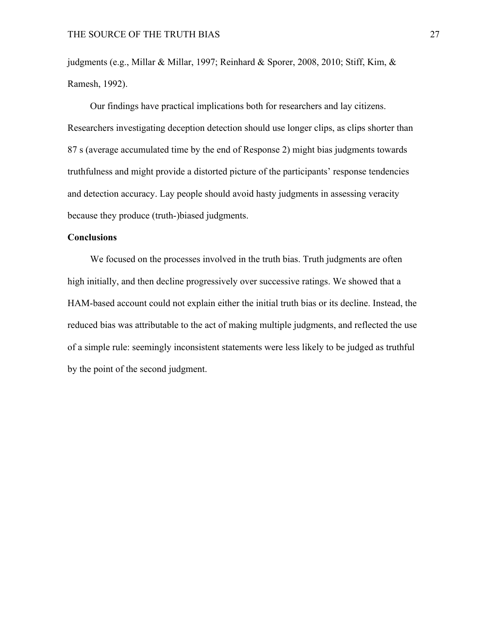judgments (e.g., Millar & Millar, 1997; Reinhard & Sporer, 2008, 2010; Stiff, Kim, & Ramesh, 1992).

Our findings have practical implications both for researchers and lay citizens. Researchers investigating deception detection should use longer clips, as clips shorter than 87 s (average accumulated time by the end of Response 2) might bias judgments towards truthfulness and might provide a distorted picture of the participants' response tendencies and detection accuracy. Lay people should avoid hasty judgments in assessing veracity because they produce (truth-)biased judgments.

## **Conclusions**

We focused on the processes involved in the truth bias. Truth judgments are often high initially, and then decline progressively over successive ratings. We showed that a HAM-based account could not explain either the initial truth bias or its decline. Instead, the reduced bias was attributable to the act of making multiple judgments, and reflected the use of a simple rule: seemingly inconsistent statements were less likely to be judged as truthful by the point of the second judgment.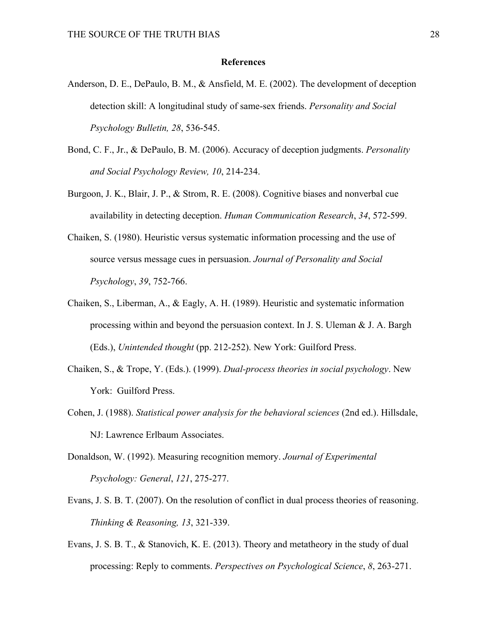## **References**

- Anderson, D. E., DePaulo, B. M., & Ansfield, M. E. (2002). The development of deception detection skill: A longitudinal study of same-sex friends. *Personality and Social Psychology Bulletin, 28*, 536-545.
- Bond, C. F., Jr., & DePaulo, B. M. (2006). Accuracy of deception judgments. *Personality and Social Psychology Review, 10*, 214-234.
- Burgoon, J. K., Blair, J. P., & Strom, R. E. (2008). Cognitive biases and nonverbal cue availability in detecting deception. *Human Communication Research*, *34*, 572-599.
- Chaiken, S. (1980). Heuristic versus systematic information processing and the use of source versus message cues in persuasion. *Journal of Personality and Social Psychology*, *39*, 752-766.
- Chaiken, S., Liberman, A., & Eagly, A. H. (1989). Heuristic and systematic information processing within and beyond the persuasion context. In J. S. Uleman & J. A. Bargh (Eds.), *Unintended thought* (pp. 212-252). New York: Guilford Press.
- Chaiken, S., & Trope, Y. (Eds.). (1999). *Dual-process theories in social psychology*. New York: Guilford Press.
- Cohen, J. (1988). *Statistical power analysis for the behavioral sciences* (2nd ed.). Hillsdale, NJ: Lawrence Erlbaum Associates.
- Donaldson, W. (1992). Measuring recognition memory. *Journal of Experimental Psychology: General*, *121*, 275-277.
- Evans, J. S. B. T. (2007). On the resolution of conflict in dual process theories of reasoning. *Thinking & Reasoning, 13*, 321-339.
- Evans, J. S. B. T., & Stanovich, K. E. (2013). Theory and metatheory in the study of dual processing: Reply to comments. *Perspectives on Psychological Science*, *8*, 263-271.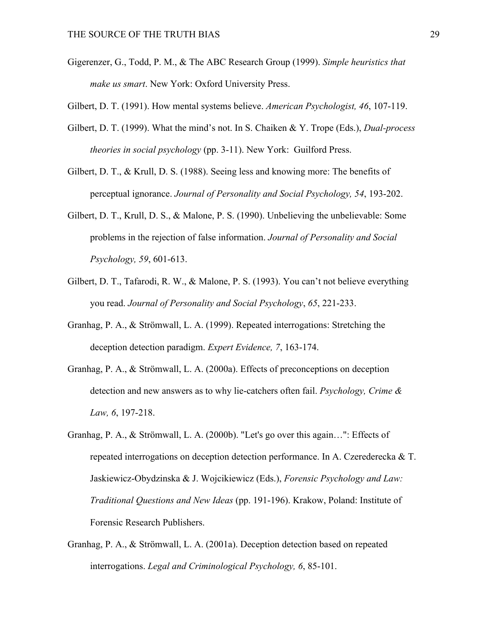- Gigerenzer, G., Todd, P. M., & The ABC Research Group (1999). *Simple heuristics that make us smart*. New York: Oxford University Press.
- Gilbert, D. T. (1991). How mental systems believe. *American Psychologist, 46*, 107-119.
- Gilbert, D. T. (1999). What the mind's not. In S. Chaiken & Y. Trope (Eds.), *Dual-process theories in social psychology* (pp. 3-11). New York: Guilford Press.
- Gilbert, D. T., & Krull, D. S. (1988). Seeing less and knowing more: The benefits of perceptual ignorance. *Journal of Personality and Social Psychology, 54*, 193-202.
- Gilbert, D. T., Krull, D. S., & Malone, P. S. (1990). Unbelieving the unbelievable: Some problems in the rejection of false information. *Journal of Personality and Social Psychology, 59*, 601-613.
- Gilbert, D. T., Tafarodi, R. W., & Malone, P. S. (1993). You can't not believe everything you read. *Journal of Personality and Social Psychology*, *65*, 221-233.
- Granhag, P. A., & Strömwall, L. A. (1999). Repeated interrogations: Stretching the deception detection paradigm. *Expert Evidence, 7*, 163-174.
- Granhag, P. A., & Strömwall, L. A. (2000a). Effects of preconceptions on deception detection and new answers as to why lie-catchers often fail. *Psychology, Crime & Law, 6*, 197-218.
- Granhag, P. A., & Strömwall, L. A. (2000b). "Let's go over this again…": Effects of repeated interrogations on deception detection performance. In A. Czerederecka & T. Jaskiewicz-Obydzinska & J. Wojcikiewicz (Eds.), *Forensic Psychology and Law: Traditional Questions and New Ideas* (pp. 191-196). Krakow, Poland: Institute of Forensic Research Publishers.
- Granhag, P. A., & Strömwall, L. A. (2001a). Deception detection based on repeated interrogations. *Legal and Criminological Psychology, 6*, 85-101.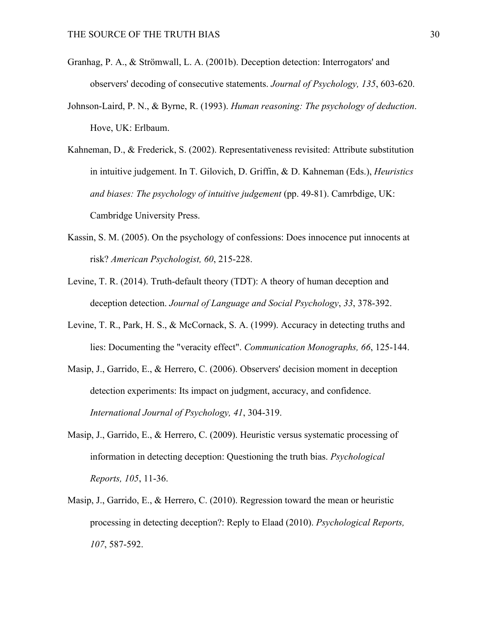- Granhag, P. A., & Strömwall, L. A. (2001b). Deception detection: Interrogators' and observers' decoding of consecutive statements. *Journal of Psychology, 135*, 603-620.
- Johnson-Laird, P. N., & Byrne, R. (1993). *Human reasoning: The psychology of deduction*. Hove, UK: Erlbaum.
- Kahneman, D., & Frederick, S. (2002). Representativeness revisited: Attribute substitution in intuitive judgement. In T. Gilovich, D. Griffin, & D. Kahneman (Eds.), *Heuristics and biases: The psychology of intuitive judgement* (pp. 49-81). Camrbdige, UK: Cambridge University Press.
- Kassin, S. M. (2005). On the psychology of confessions: Does innocence put innocents at risk? *American Psychologist, 60*, 215-228.
- Levine, T. R. (2014). Truth-default theory (TDT): A theory of human deception and deception detection. *Journal of Language and Social Psychology*, *33*, 378-392.
- Levine, T. R., Park, H. S., & McCornack, S. A. (1999). Accuracy in detecting truths and lies: Documenting the "veracity effect". *Communication Monographs, 66*, 125-144.
- Masip, J., Garrido, E., & Herrero, C. (2006). Observers' decision moment in deception detection experiments: Its impact on judgment, accuracy, and confidence. *International Journal of Psychology, 41*, 304-319.
- Masip, J., Garrido, E., & Herrero, C. (2009). Heuristic versus systematic processing of information in detecting deception: Questioning the truth bias. *Psychological Reports, 105*, 11-36.
- Masip, J., Garrido, E., & Herrero, C. (2010). Regression toward the mean or heuristic processing in detecting deception?: Reply to Elaad (2010). *Psychological Reports, 107*, 587-592.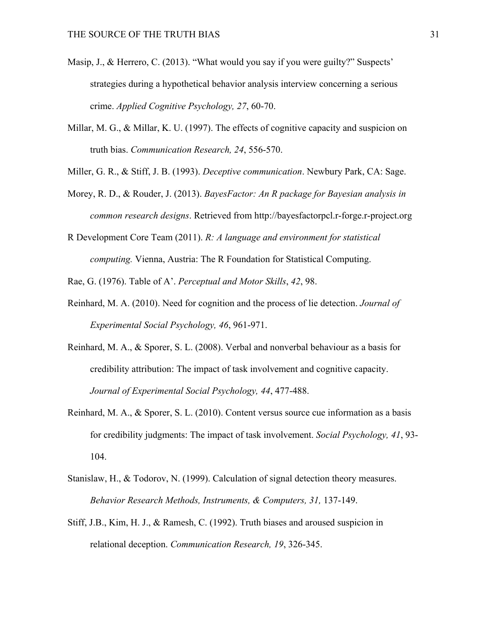- Masip, J., & Herrero, C. (2013). "What would you say if you were guilty?" Suspects' strategies during a hypothetical behavior analysis interview concerning a serious crime. *Applied Cognitive Psychology, 27*, 60-70.
- Millar, M. G., & Millar, K. U. (1997). The effects of cognitive capacity and suspicion on truth bias. *Communication Research, 24*, 556-570.
- Miller, G. R., & Stiff, J. B. (1993). *Deceptive communication*. Newbury Park, CA: Sage.
- Morey, R. D., & Rouder, J. (2013). *BayesFactor: An R package for Bayesian analysis in common research designs*. Retrieved from http://bayesfactorpcl.r-forge.r-project.org
- R Development Core Team (2011). *R: A language and environment for statistical computing.* Vienna, Austria: The R Foundation for Statistical Computing.

Rae, G. (1976). Table of A'. *Perceptual and Motor Skills*, *42*, 98.

- Reinhard, M. A. (2010). Need for cognition and the process of lie detection. *Journal of Experimental Social Psychology, 46*, 961-971.
- Reinhard, M. A., & Sporer, S. L. (2008). Verbal and nonverbal behaviour as a basis for credibility attribution: The impact of task involvement and cognitive capacity. *Journal of Experimental Social Psychology, 44*, 477-488.
- Reinhard, M. A., & Sporer, S. L. (2010). Content versus source cue information as a basis for credibility judgments: The impact of task involvement. *Social Psychology, 41*, 93- 104.
- Stanislaw, H., & Todorov, N. (1999). Calculation of signal detection theory measures. *Behavior Research Methods, Instruments, & Computers, 31,* 137-149.
- Stiff, J.B., Kim, H. J., & Ramesh, C. (1992). Truth biases and aroused suspicion in relational deception. *Communication Research, 19*, 326-345.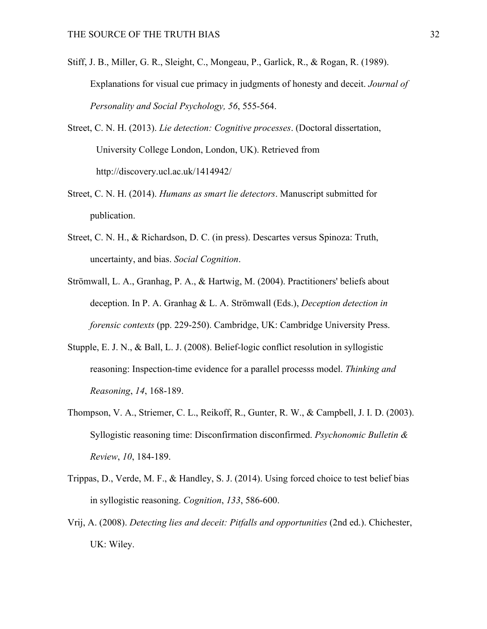- Stiff, J. B., Miller, G. R., Sleight, C., Mongeau, P., Garlick, R., & Rogan, R. (1989). Explanations for visual cue primacy in judgments of honesty and deceit. *Journal of Personality and Social Psychology, 56*, 555-564.
- Street, C. N. H. (2013). *Lie detection: Cognitive processes*. (Doctoral dissertation, University College London, London, UK). Retrieved from http://discovery.ucl.ac.uk/1414942/
- Street, C. N. H. (2014). *Humans as smart lie detectors*. Manuscript submitted for publication.
- Street, C. N. H., & Richardson, D. C. (in press). Descartes versus Spinoza: Truth, uncertainty, and bias. *Social Cognition*.
- Strömwall, L. A., Granhag, P. A., & Hartwig, M. (2004). Practitioners' beliefs about deception. In P. A. Granhag & L. A. Strömwall (Eds.), *Deception detection in forensic contexts* (pp. 229-250). Cambridge, UK: Cambridge University Press.
- Stupple, E. J. N., & Ball, L. J. (2008). Belief-logic conflict resolution in syllogistic reasoning: Inspection-time evidence for a parallel processs model. *Thinking and Reasoning*, *14*, 168-189.
- Thompson, V. A., Striemer, C. L., Reikoff, R., Gunter, R. W., & Campbell, J. I. D. (2003). Syllogistic reasoning time: Disconfirmation disconfirmed. *Psychonomic Bulletin & Review*, *10*, 184-189.
- Trippas, D., Verde, M. F., & Handley, S. J. (2014). Using forced choice to test belief bias in syllogistic reasoning. *Cognition*, *133*, 586-600.
- Vrij, A. (2008). *Detecting lies and deceit: Pitfalls and opportunities* (2nd ed.). Chichester, UK: Wiley.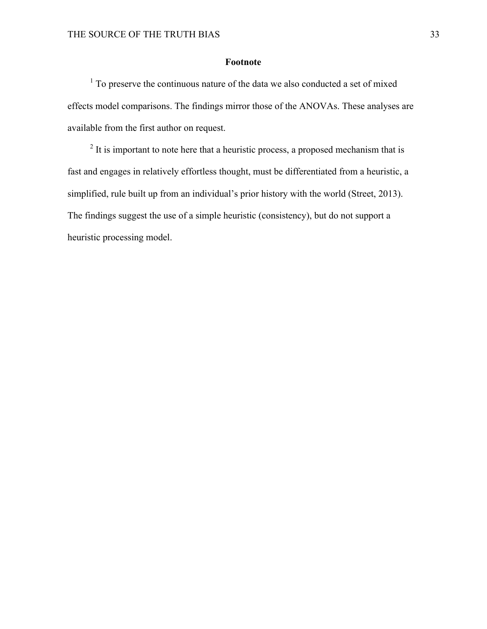## **Footnote**

<sup>1</sup> To preserve the continuous nature of the data we also conducted a set of mixed effects model comparisons. The findings mirror those of the ANOVAs. These analyses are available from the first author on request.

 $2$  It is important to note here that a heuristic process, a proposed mechanism that is fast and engages in relatively effortless thought, must be differentiated from a heuristic, a simplified, rule built up from an individual's prior history with the world (Street, 2013). The findings suggest the use of a simple heuristic (consistency), but do not support a heuristic processing model.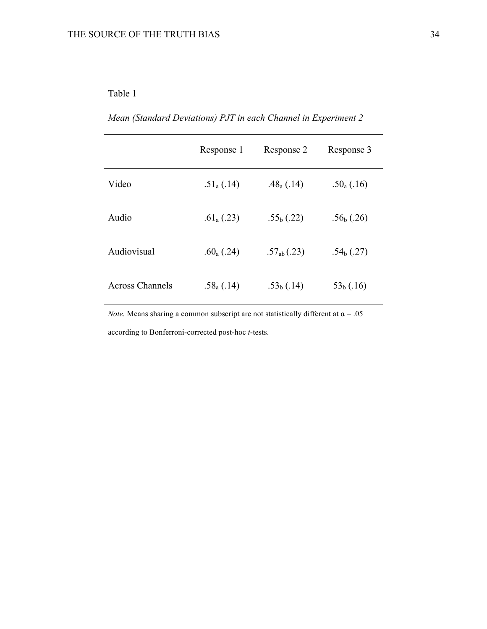# Table 1

*Mean (Standard Deviations) PJT in each Channel in Experiment 2*

|                        | Response 1               | Response 2             | Response 3     |  |
|------------------------|--------------------------|------------------------|----------------|--|
| Video                  | $.51_{a}(.14)$           | .48 <sub>a</sub> (.14) | $.50_{a}(.16)$ |  |
| Audio                  | .61 <sub>a</sub> $(.23)$ | $.55b$ (.22)           | $.56b$ (.26)   |  |
| Audiovisual            | .60 <sub>a</sub> $(.24)$ | $.57_{ab}(.23)$        | $.54b$ (.27)   |  |
| <b>Across Channels</b> | $.58_{a}(.14)$           | $.53b$ (.14)           | $53b$ (.16)    |  |

*Note.* Means sharing a common subscript are not statistically different at  $\alpha = .05$ according to Bonferroni-corrected post-hoc *t*-tests.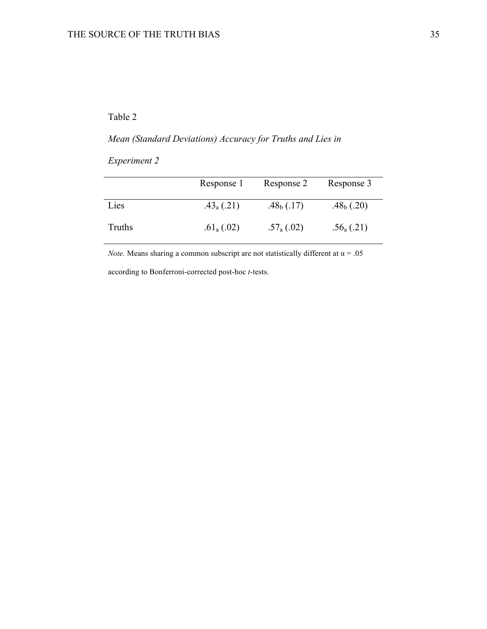## Table 2

# *Mean (Standard Deviations) Accuracy for Truths and Lies in*

*Experiment 2*

|        | Response 1               | Response 2               | Response 3               |
|--------|--------------------------|--------------------------|--------------------------|
| Lies   | $.43_{a}(.21)$           | .48 <sub>b</sub> $(.17)$ | .48 <sub>b</sub> $(.20)$ |
| Truths | .61 <sub>a</sub> $(.02)$ | $.57_{a}(.02)$           | $.56_{a}$ (.21)          |

*Note.* Means sharing a common subscript are not statistically different at  $\alpha = .05$ 

according to Bonferroni-corrected post-hoc *t*-tests.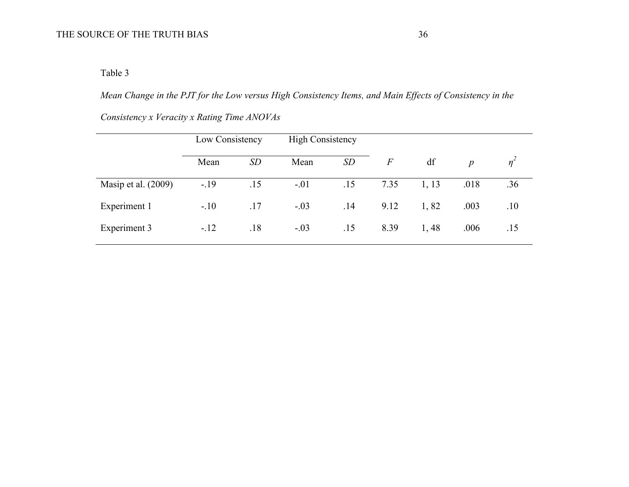Table 3

*Mean Change in the PJT for the Low versus High Consistency Items, and Main Effects of Consistency in the* 

|                       | Low Consistency |     | <b>High Consistency</b> |     |       |       |                  |                |
|-----------------------|-----------------|-----|-------------------------|-----|-------|-------|------------------|----------------|
|                       | Mean            | SD  | Mean                    | SD  | $\,F$ | df    | $\boldsymbol{p}$ | n <sup>2</sup> |
| Masip et al. $(2009)$ | $-.19$          | .15 | $-.01$                  | .15 | 7.35  | 1, 13 | .018             | .36            |
| Experiment 1          | $-.10$          | .17 | $-.03$                  | .14 | 9.12  | 1,82  | .003             | .10            |
| Experiment 3          | $-.12$          | .18 | $-.03$                  | .15 | 8.39  | 1,48  | .006             | .15            |

*Consistency x Veracity x Rating Time ANOVAs*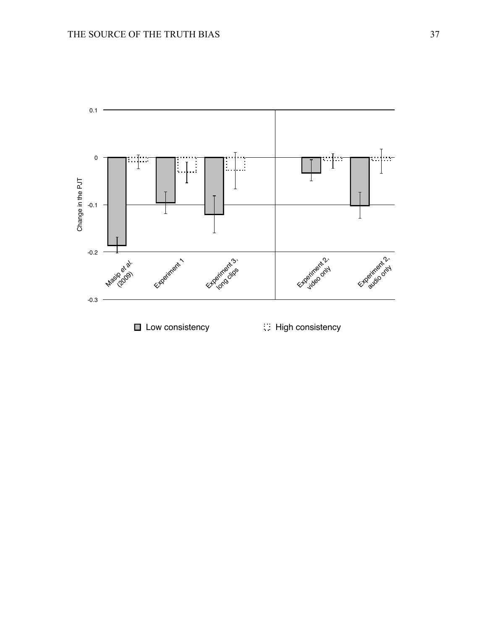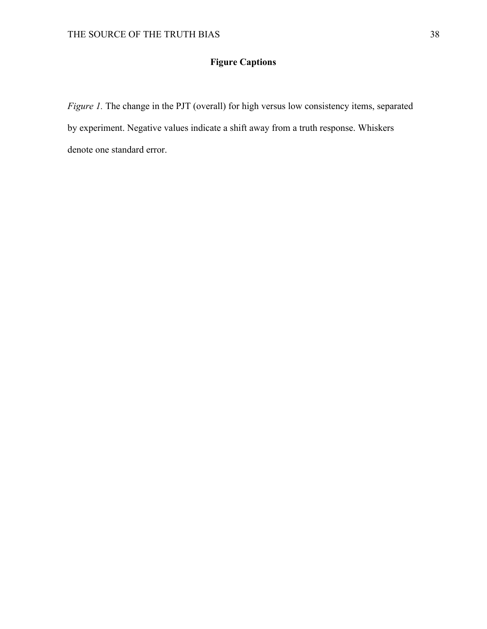# **Figure Captions**

*Figure 1.* The change in the PJT (overall) for high versus low consistency items, separated by experiment. Negative values indicate a shift away from a truth response. Whiskers denote one standard error.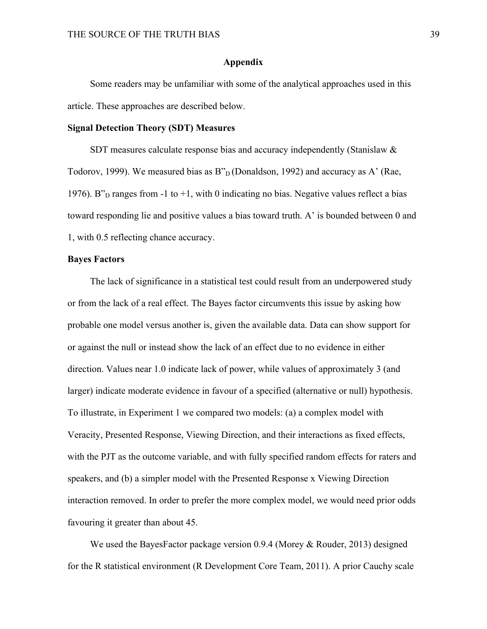#### **Appendix**

Some readers may be unfamiliar with some of the analytical approaches used in this article. These approaches are described below.

## **Signal Detection Theory (SDT) Measures**

SDT measures calculate response bias and accuracy independently (Stanislaw & Todorov, 1999). We measured bias as  $B_{D}^{n}$  (Donaldson, 1992) and accuracy as A' (Rae, 1976). B"<sub>D</sub> ranges from -1 to +1, with 0 indicating no bias. Negative values reflect a bias toward responding lie and positive values a bias toward truth. A' is bounded between 0 and 1, with 0.5 reflecting chance accuracy.

## **Bayes Factors**

The lack of significance in a statistical test could result from an underpowered study or from the lack of a real effect. The Bayes factor circumvents this issue by asking how probable one model versus another is, given the available data. Data can show support for or against the null or instead show the lack of an effect due to no evidence in either direction. Values near 1.0 indicate lack of power, while values of approximately 3 (and larger) indicate moderate evidence in favour of a specified (alternative or null) hypothesis. To illustrate, in Experiment 1 we compared two models: (a) a complex model with Veracity, Presented Response, Viewing Direction, and their interactions as fixed effects, with the PJT as the outcome variable, and with fully specified random effects for raters and speakers, and (b) a simpler model with the Presented Response x Viewing Direction interaction removed. In order to prefer the more complex model, we would need prior odds favouring it greater than about 45.

We used the BayesFactor package version 0.9.4 (Morey & Rouder, 2013) designed for the R statistical environment (R Development Core Team, 2011). A prior Cauchy scale